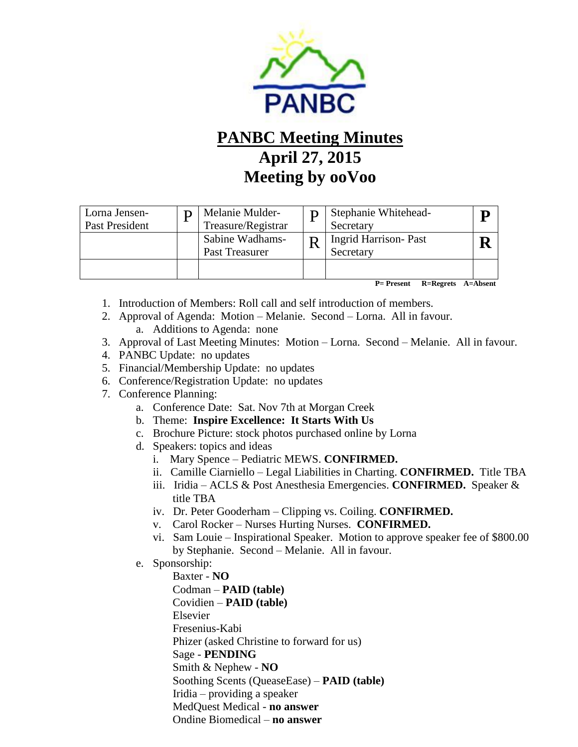

## **PANBC Meeting Minutes April 27, 2015 Meeting by ooVoo**

| Lorna Jensen-<br>Past President | Melanie Mulder-<br>Treasure/Registrar | Stephanie Whitehead-<br>Secretary        |  |
|---------------------------------|---------------------------------------|------------------------------------------|--|
|                                 | Sabine Wadhams-<br>Past Treasurer     | <b>Ingrid Harrison-Past</b><br>Secretary |  |
|                                 |                                       |                                          |  |

 **P= Present R=Regrets A=Absent**

- 1. Introduction of Members: Roll call and self introduction of members.
- 2. Approval of Agenda: Motion Melanie. Second Lorna. All in favour.
	- a. Additions to Agenda: none
- 3. Approval of Last Meeting Minutes: Motion Lorna. Second Melanie. All in favour.
- 4. PANBC Update: no updates
- 5. Financial/Membership Update: no updates
- 6. Conference/Registration Update: no updates
- 7. Conference Planning:
	- a. Conference Date: Sat. Nov 7th at Morgan Creek
	- b. Theme: **Inspire Excellence: It Starts With Us**
	- c. Brochure Picture: stock photos purchased online by Lorna
	- d. Speakers: topics and ideas
		- i. Mary Spence Pediatric MEWS. **CONFIRMED.**
		- ii. Camille Ciarniello Legal Liabilities in Charting. **CONFIRMED.** Title TBA
		- iii. Iridia ACLS & Post Anesthesia Emergencies. **CONFIRMED.** Speaker & title TBA
		- iv. Dr. Peter Gooderham Clipping vs. Coiling. **CONFIRMED.**
		- v. Carol Rocker Nurses Hurting Nurses. **CONFIRMED.**
		- vi. Sam Louie Inspirational Speaker. Motion to approve speaker fee of \$800.00 by Stephanie. Second – Melanie. All in favour.
	- e. Sponsorship:

 Baxter - **NO** Codman – **PAID (table)** Covidien – **PAID (table)** Elsevier Fresenius-Kabi Phizer (asked Christine to forward for us) Sage - **PENDING** Smith & Nephew - **NO** Soothing Scents (QueaseEase) – **PAID (table)** Iridia – providing a speaker MedQuest Medical - **no answer** Ondine Biomedical – **no answer**